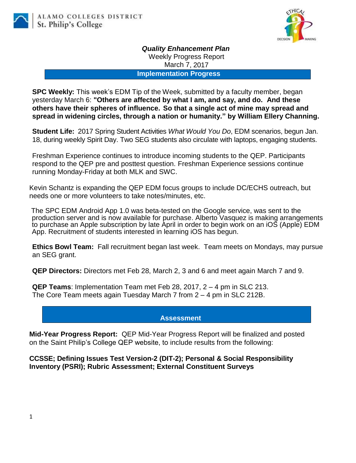

*Quality Enhancement Plan* Weekly Progress Report

March 7, 2017

**Implementation Progress**

**SPC Weekly:** This week's EDM Tip of the Week, submitted by a faculty member, began yesterday March 6: **"Others are affected by what I am, and say, and do. And these others have their spheres of influence. So that a single act of mine may spread and spread in widening circles, through a nation or humanity." by William Ellery Channing.**

**Student Life:** 2017 Spring Student Activities *What Would You Do*, EDM scenarios, begun Jan. 18, during weekly Spirit Day. Two SEG students also circulate with laptops, engaging students.

Freshman Experience continues to introduce incoming students to the QEP. Participants respond to the QEP pre and posttest question. Freshman Experience sessions continue running Monday-Friday at both MLK and SWC.

Kevin Schantz is expanding the QEP EDM focus groups to include DC/ECHS outreach, but needs one or more volunteers to take notes/minutes, etc.

The SPC EDM Android App 1.0 was beta-tested on the Google service, was sent to the production server and is now available for purchase. Alberto Vasquez is making arrangements to purchase an Apple subscription by late April in order to begin work on an iOS (Apple) EDM App. Recruitment of students interested in learning iOS has begun.

**Ethics Bowl Team:** Fall recruitment began last week. Team meets on Mondays, may pursue an SEG grant.

**QEP Directors:** Directors met Feb 28, March 2, 3 and 6 and meet again March 7 and 9.

**QEP Teams**: Implementation Team met Feb 28, 2017, 2 – 4 pm in SLC 213. The Core Team meets again Tuesday March 7 from 2 – 4 pm in SLC 212B.

**Assessment**

**Mid-Year Progress Report:** QEP Mid-Year Progress Report will be finalized and posted on the Saint Philip's College QEP website, to include results from the following:

**CCSSE; Defining Issues Test Version-2 (DIT-2); Personal & Social Responsibility Inventory (PSRI); Rubric Assessment; External Constituent Surveys**